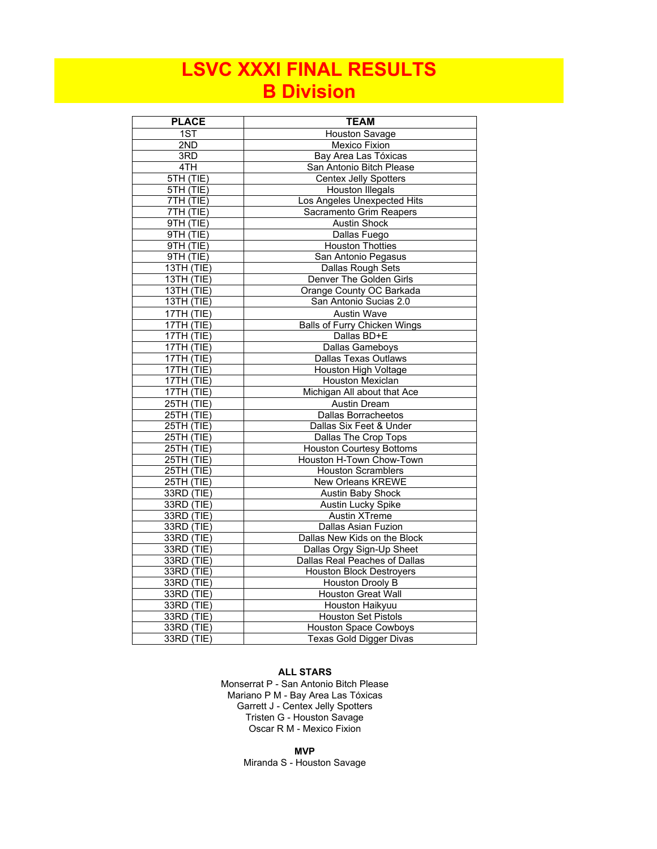## **LSVC XXXI FINAL RESULTS B Division**

| <b>PLACE</b>            | <b>TEAM</b>                         |
|-------------------------|-------------------------------------|
| 1ST                     | <b>Houston Savage</b>               |
| 2ND                     | <b>Mexico Fixion</b>                |
| 3RD                     | Bay Area Las Tóxicas                |
| 4TH                     | San Antonio Bitch Please            |
| 5TH(TIE)                | <b>Centex Jelly Spotters</b>        |
| 5TH (TIE)               | <b>Houston Illegals</b>             |
| 7TH(TIE)                | Los Angeles Unexpected Hits         |
| 7TH(TIE)                | Sacramento Grim Reapers             |
| 9TH(TIE)                | <b>Austin Shock</b>                 |
| 9TH(TIE)                | Dallas Fuego                        |
| 9TH (TIE)               | <b>Houston Thotties</b>             |
| 9TH (TIE)               | San Antonio Pegasus                 |
| <b>13TH (TIE)</b>       | <b>Dallas Rough Sets</b>            |
| <b>13TH (TIE)</b>       | Denver The Golden Girls             |
| $13TH$ (TIE)            | Orange County OC Barkada            |
| 13TH (TIE)              | San Antonio Sucias 2.0              |
| 17TH (TIE)              | <b>Austin Wave</b>                  |
| $17TH$ (TIE)            | <b>Balls of Furry Chicken Wings</b> |
| $17TH$ (TIE)            | Dallas BD+E                         |
| $17TH$ (TIE)            | Dallas Gameboys                     |
| $17TH$ (TIE)            | <b>Dallas Texas Outlaws</b>         |
| $17TH$ (TIE)            | <b>Houston High Voltage</b>         |
| 17TH (TIE)              | Houston Mexiclan                    |
| $17TH$ (TIE)            | Michigan All about that Ace         |
| 25TH(TIE)               | <b>Austin Dream</b>                 |
| <b>25TH (TIE)</b>       | <b>Dallas Borracheetos</b>          |
| $\overline{25TH}$ (TIE) | Dallas Six Feet & Under             |
| $25TH$ (TIE)            | <b>Dallas The Crop Tops</b>         |
| $25TH$ (TIE)            | <b>Houston Courtesy Bottoms</b>     |
| $25TH$ (TIE)            | Houston H-Town Chow-Town            |
| 25TH (TIE)              | <b>Houston Scramblers</b>           |
| $25TH$ (TIE)            | <b>New Orleans KREWE</b>            |
| 33RD (TIE)              | Austin Baby Shock                   |
| 33RD (TIE)              | Austin Lucky Spike                  |
| 33RD (TIE)              | <b>Austin XTreme</b>                |
| 33RD (TIE)              | <b>Dallas Asian Fuzion</b>          |
| 33RD (TIE)              | Dallas New Kids on the Block        |
| 33RD (TIE)              | Dallas Orgy Sign-Up Sheet           |
| 33RD (TIE)              | Dallas Real Peaches of Dallas       |
| $33RD$ (TIE)            | <b>Houston Block Destroyers</b>     |
| 33RD (TIE)              | <b>Houston Drooly B</b>             |
| 33RD (TIE)              | <b>Houston Great Wall</b>           |
| 33RD (TIE)              | <b>Houston Haikyuu</b>              |
| 33RD (TIE)              | <b>Houston Set Pistols</b>          |
| $33RD$ (TIE)            | <b>Houston Space Cowboys</b>        |
| 33RD (TIE)              | Texas Gold Digger Divas             |

#### **ALL STARS**

Tristen G - Houston Savage Oscar R M - Mexico Fixion Monserrat P - San Antonio Bitch Please Mariano P M - Bay Area Las Tóxicas Garrett J - Centex Jelly Spotters

> **MVP** Miranda S - Houston Savage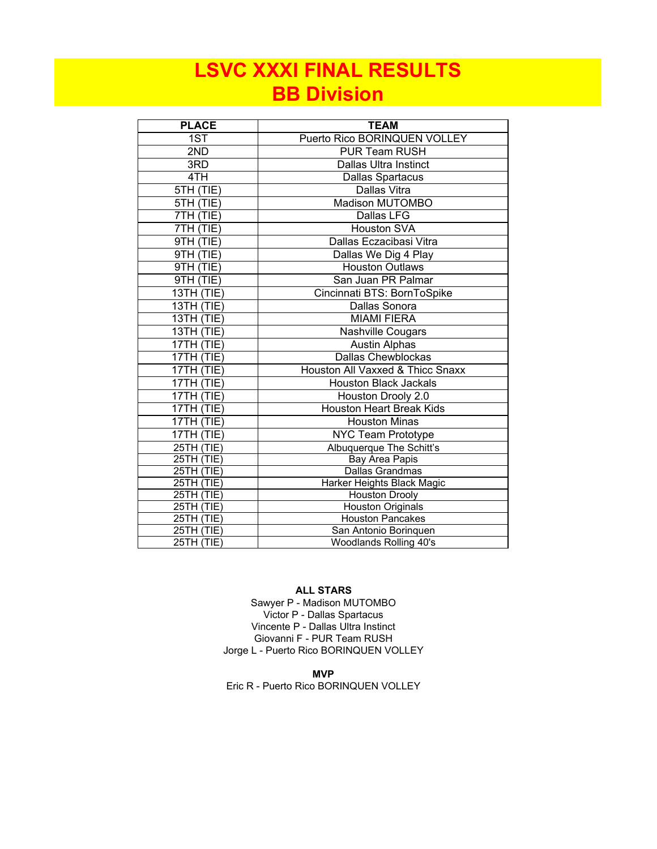# **LSVC XXXI FINAL RESULTS BB Division**

| <b>PLACE</b>             | <b>TEAM</b>                                     |
|--------------------------|-------------------------------------------------|
| 1ST                      | Puerto Rico BORINQUEN VOLLEY                    |
| 2ND                      | <b>PUR Team RUSH</b>                            |
| 3RD                      | Dallas Ultra Instinct                           |
| 4TH                      | Dallas Spartacus                                |
| 5TH (TIE)                | Dallas Vitra                                    |
| 5TH (TIE)                | Madison MUTOMBO                                 |
| 7TH (TIE)                | Dallas LFG                                      |
| 7TH (TIE)                | <b>Houston SVA</b>                              |
| 9TH (TIE)                | Dallas Eczacibasi Vitra                         |
| 9TH (TIE)                | Dallas We Dig 4 Play                            |
| 9TH (TIE)                | <b>Houston Outlaws</b>                          |
| 9TH (TIE)                | San Juan PR Palmar                              |
| 13TH (TIE)               | Cincinnati BTS: BornToSpike                     |
| 13TH (TIE)               | Dallas Sonora                                   |
| 13TH (TIE)               | <b>MIAMI FIERA</b>                              |
| 13TH (TIE)               | Nashville Cougars                               |
| 17TH (TIE)               | <b>Austin Alphas</b>                            |
| 17TH (TIE)               | <b>Dallas Chewblockas</b>                       |
| 17TH (TIE)               | Houston All Vaxxed & Thicc Snaxx                |
| 17TH (TIE)               | <b>Houston Black Jackals</b>                    |
| 17TH (TIE)               | Houston Drooly 2.0                              |
| 17TH (TIE)               | <b>Houston Heart Break Kids</b>                 |
| 17TH (TIE)               | <b>Houston Minas</b>                            |
| 17TH (TIE)               | <b>NYC Team Prototype</b>                       |
| 25TH (TIE)               | Albuquerque The Schitt's                        |
| 25TH (TIE)               | Bay Area Papis                                  |
| 25TH (TIE)               | Dallas Grandmas                                 |
| 25TH (TIE)               | Harker Heights Black Magic                      |
| 25TH (TIE)               | <b>Houston Drooly</b>                           |
| 25TH (TIE)               | <b>Houston Originals</b>                        |
| 25TH (TIE)               | <b>Houston Pancakes</b>                         |
| 25TH (TIE)<br>25TH (TIE) | San Antonio Borinquen<br>Woodlands Rolling 40's |
|                          |                                                 |

#### **ALL STARS**

Giovanni F - PUR Team RUSH Jorge L - Puerto Rico BORINQUEN VOLLEY Sawyer P - Madison MUTOMBO Victor P - Dallas Spartacus Vincente P - Dallas Ultra Instinct

**MVP**

Eric R - Puerto Rico BORINQUEN VOLLEY